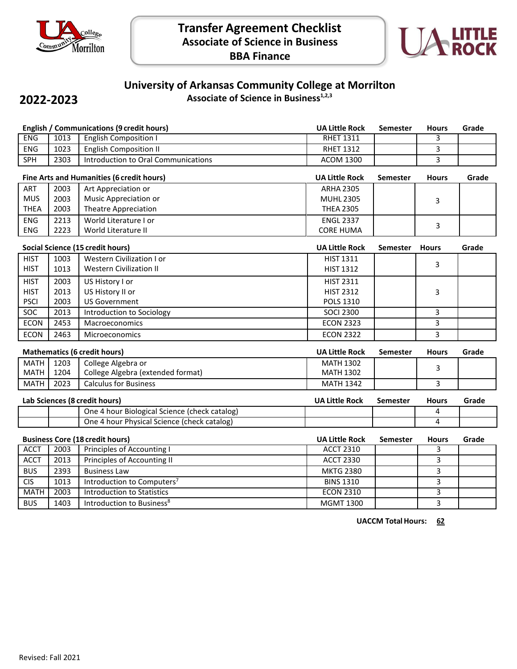



# **University of Arkansas Community College at Morrilton**

**2022-2023**

**Associate of Science in Business1,2,3**

| <b>English / Communications (9 credit hours)</b> |                                           |                                               | <b>UA Little Rock</b> | <b>Semester</b> | <b>Hours</b>   | Grade |
|--------------------------------------------------|-------------------------------------------|-----------------------------------------------|-----------------------|-----------------|----------------|-------|
| <b>ENG</b>                                       | 1013                                      | <b>English Composition I</b>                  | <b>RHET 1311</b>      |                 | 3              |       |
| <b>ENG</b>                                       | 1023                                      | <b>English Composition II</b>                 | <b>RHET 1312</b>      |                 | 3              |       |
| SPH                                              | 2303                                      | Introduction to Oral Communications           | <b>ACOM 1300</b>      |                 | 3              |       |
|                                                  | Fine Arts and Humanities (6 credit hours) |                                               | <b>UA Little Rock</b> | <b>Semester</b> | <b>Hours</b>   | Grade |
| ART                                              | 2003                                      | Art Appreciation or                           | <b>ARHA 2305</b>      |                 |                |       |
| <b>MUS</b>                                       | 2003                                      | Music Appreciation or                         | <b>MUHL 2305</b>      |                 | 3              |       |
| <b>THEA</b>                                      | 2003                                      | <b>Theatre Appreciation</b>                   | <b>THEA 2305</b>      |                 |                |       |
| <b>ENG</b>                                       | 2213                                      | World Literature I or                         | <b>ENGL 2337</b>      |                 | 3              |       |
| ENG                                              | 2223                                      | World Literature II                           | <b>CORE HUMA</b>      |                 |                |       |
|                                                  |                                           | Social Science (15 credit hours)              | <b>UA Little Rock</b> | Semester        | <b>Hours</b>   | Grade |
| <b>HIST</b>                                      | 1003                                      | Western Civilization I or                     | HIST 1311             |                 |                |       |
| <b>HIST</b>                                      | 1013                                      | <b>Western Civilization II</b>                | <b>HIST 1312</b>      |                 | 3              |       |
| <b>HIST</b>                                      | 2003                                      | US History I or                               | <b>HIST 2311</b>      |                 |                |       |
| <b>HIST</b>                                      | 2013                                      | US History II or                              | <b>HIST 2312</b>      |                 | 3              |       |
| <b>PSCI</b>                                      | 2003                                      | <b>US Government</b>                          | <b>POLS 1310</b>      |                 |                |       |
| <b>SOC</b>                                       | 2013                                      | Introduction to Sociology                     | <b>SOCI 2300</b>      |                 | 3              |       |
| <b>ECON</b>                                      | 2453                                      | Macroeconomics                                | <b>ECON 2323</b>      |                 | 3              |       |
| <b>ECON</b>                                      | 2463                                      | Microeconomics                                | <b>ECON 2322</b>      |                 | 3              |       |
| <b>Mathematics (6 credit hours)</b>              |                                           |                                               | <b>UA Little Rock</b> | <b>Semester</b> | <b>Hours</b>   | Grade |
| <b>MATH</b>                                      | 1203                                      | College Algebra or                            | <b>MATH 1302</b>      |                 | 3              |       |
| <b>MATH</b>                                      | 1204                                      | College Algebra (extended format)             | <b>MATH 1302</b>      |                 |                |       |
| <b>MATH</b>                                      | 2023                                      | <b>Calculus for Business</b>                  | <b>MATH 1342</b>      |                 | 3              |       |
|                                                  |                                           | Lab Sciences (8 credit hours)                 | <b>UA Little Rock</b> | <b>Semester</b> | <b>Hours</b>   | Grade |
|                                                  |                                           | One 4 hour Biological Science (check catalog) |                       |                 | 4              |       |
|                                                  |                                           | One 4 hour Physical Science (check catalog)   |                       |                 | 4              |       |
| <b>Business Core (18 credit hours)</b>           |                                           | <b>UA Little Rock</b>                         | <b>Semester</b>       | <b>Hours</b>    | Grade          |       |
| <b>ACCT</b>                                      | 2003                                      | <b>Principles of Accounting I</b>             | <b>ACCT 2310</b>      |                 | 3              |       |
| <b>ACCT</b>                                      | 2013                                      | Principles of Accounting II                   | <b>ACCT 2330</b>      |                 | 3              |       |
| <b>BUS</b>                                       | 2393                                      | <b>Business Law</b>                           | <b>MKTG 2380</b>      |                 | 3              |       |
| <b>CIS</b>                                       | 1013                                      | Introduction to Computers <sup>7</sup>        | <b>BINS 1310</b>      |                 | 3              |       |
| <b>MATH</b>                                      | 2003                                      | <b>Introduction to Statistics</b>             | <b>ECON 2310</b>      |                 | $\overline{3}$ |       |
| <b>BUS</b>                                       | 1403                                      | Introduction to Business <sup>8</sup>         | <b>MGMT 1300</b>      |                 | 3              |       |

**UACCM TotalHours: 62**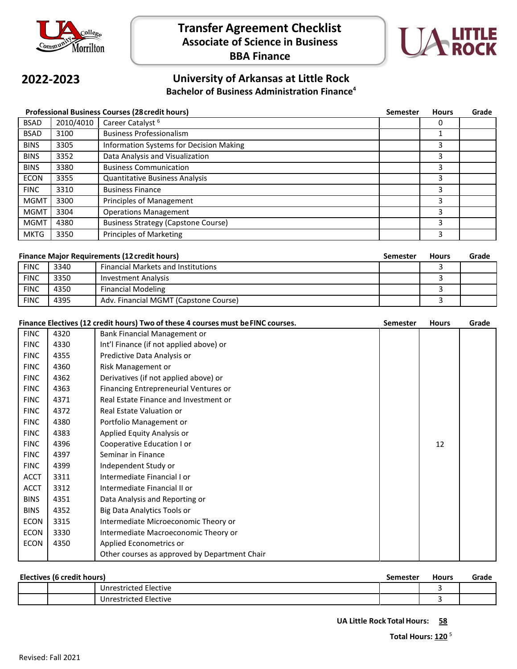



#### **2022-2023 University of Arkansas at Little Rock Bachelor of Business Administration Finance4**

| <b>Professional Business Courses (28 credit hours)</b> |           |                                            | <b>Semester</b> | <b>Hours</b> | Grade |
|--------------------------------------------------------|-----------|--------------------------------------------|-----------------|--------------|-------|
| <b>BSAD</b>                                            | 2010/4010 | Career Catalyst <sup>6</sup>               |                 | 0            |       |
| <b>BSAD</b>                                            | 3100      | <b>Business Professionalism</b>            |                 |              |       |
| <b>BINS</b>                                            | 3305      | Information Systems for Decision Making    |                 | 3            |       |
| <b>BINS</b>                                            | 3352      | Data Analysis and Visualization            |                 | 3            |       |
| <b>BINS</b>                                            | 3380      | <b>Business Communication</b>              |                 |              |       |
| <b>ECON</b>                                            | 3355      | <b>Quantitative Business Analysis</b>      |                 | 3            |       |
| <b>FINC</b>                                            | 3310      | <b>Business Finance</b>                    |                 | 3            |       |
| <b>MGMT</b>                                            | 3300      | Principles of Management                   |                 | 3            |       |
| <b>MGMT</b>                                            | 3304      | <b>Operations Management</b>               |                 | 3            |       |
| <b>MGMT</b>                                            | 4380      | <b>Business Strategy (Capstone Course)</b> |                 | 3            |       |
| <b>MKTG</b>                                            | 3350      | <b>Principles of Marketing</b>             |                 | 3            |       |

| <b>Finance Major Requirements (12 credit hours)</b> |      | Semester                                  | <b>Hours</b> | Grade |  |
|-----------------------------------------------------|------|-------------------------------------------|--------------|-------|--|
| <b>FINC</b>                                         | 3340 | <b>Financial Markets and Institutions</b> |              |       |  |
| <b>FINC</b>                                         | 3350 | Investment Analysis                       |              |       |  |
| <b>FINC</b>                                         | 4350 | <b>Financial Modeling</b>                 |              |       |  |
| <b>FINC</b>                                         | 4395 | Adv. Financial MGMT (Capstone Course)     |              |       |  |

|             |      | Finance Electives (12 credit hours) Two of these 4 courses must be FINC courses. | <b>Semester</b> | <b>Hours</b> | Grade |
|-------------|------|----------------------------------------------------------------------------------|-----------------|--------------|-------|
| <b>FINC</b> | 4320 | Bank Financial Management or                                                     |                 |              |       |
| <b>FINC</b> | 4330 | Int'l Finance (if not applied above) or                                          |                 |              |       |
| <b>FINC</b> | 4355 | Predictive Data Analysis or                                                      |                 |              |       |
| <b>FINC</b> | 4360 | Risk Management or                                                               |                 |              |       |
| <b>FINC</b> | 4362 | Derivatives (if not applied above) or                                            |                 |              |       |
| <b>FINC</b> | 4363 | Financing Entrepreneurial Ventures or                                            |                 |              |       |
| <b>FINC</b> | 4371 | Real Estate Finance and Investment or                                            |                 |              |       |
| <b>FINC</b> | 4372 | Real Estate Valuation or                                                         |                 |              |       |
| <b>FINC</b> | 4380 | Portfolio Management or                                                          |                 |              |       |
| <b>FINC</b> | 4383 | Applied Equity Analysis or                                                       |                 |              |       |
| <b>FINC</b> | 4396 | Cooperative Education I or                                                       |                 | 12           |       |
| <b>FINC</b> | 4397 | Seminar in Finance                                                               |                 |              |       |
| <b>FINC</b> | 4399 | Independent Study or                                                             |                 |              |       |
| <b>ACCT</b> | 3311 | Intermediate Financial I or                                                      |                 |              |       |
| <b>ACCT</b> | 3312 | Intermediate Financial II or                                                     |                 |              |       |
| <b>BINS</b> | 4351 | Data Analysis and Reporting or                                                   |                 |              |       |
| <b>BINS</b> | 4352 | Big Data Analytics Tools or                                                      |                 |              |       |
| <b>ECON</b> | 3315 | Intermediate Microeconomic Theory or                                             |                 |              |       |
| <b>ECON</b> | 3330 | Intermediate Macroeconomic Theory or                                             |                 |              |       |
| <b>ECON</b> | 4350 | Applied Econometrics or                                                          |                 |              |       |
|             |      | Other courses as approved by Department Chair                                    |                 |              |       |

| Electives (6 credit hours) |  |                       | Semester | <b>Hours</b> | Grade |
|----------------------------|--|-----------------------|----------|--------------|-------|
|                            |  | Unrestricted Elective |          |              |       |
|                            |  | Unrestricted Elective |          |              |       |